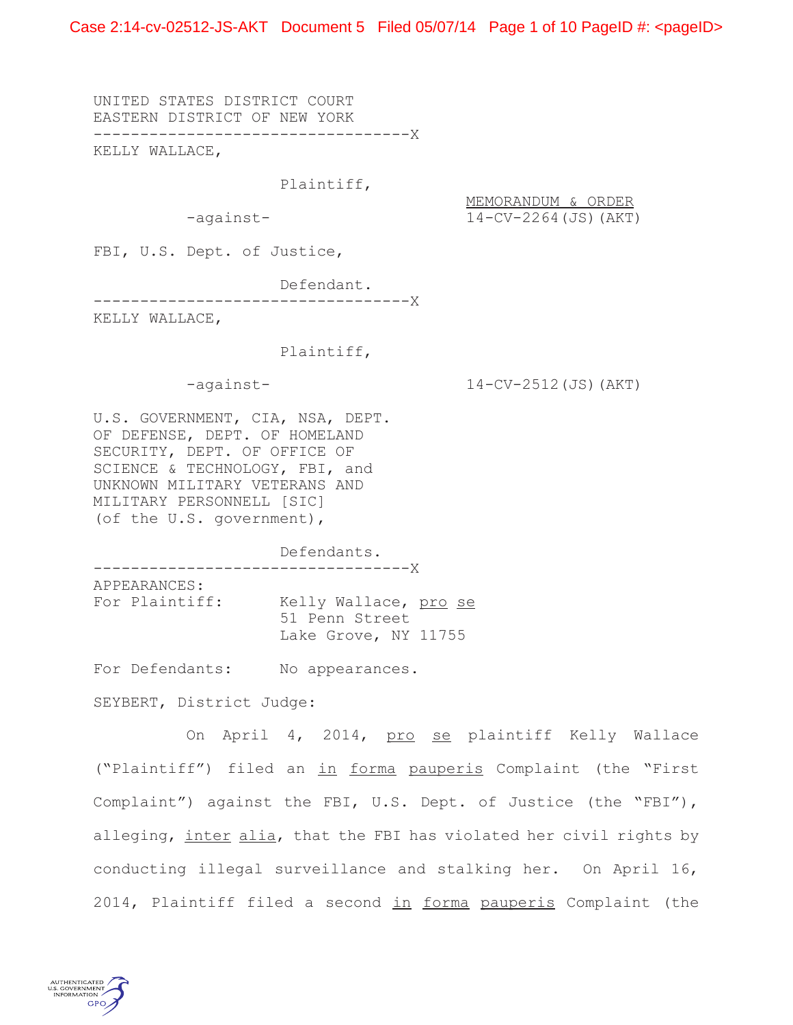Case 2:14-cv-02512-JS-AKT Document 5 Filed 05/07/14 Page 1 of 10 PageID #: <pageID>

UNITED STATES DISTRICT COURT EASTERN DISTRICT OF NEW YORK ----------------------------------X

KELLY WALLACE,

Plaintiff,

MEMORANDUM & ORDER -against- 14-CV-2264(JS)(AKT)

FBI, U.S. Dept. of Justice,

Defendant.

----------------------------------X

KELLY WALLACE,

### Plaintiff,

-against- 14-CV-2512(JS)(AKT)

U.S. GOVERNMENT, CIA, NSA, DEPT. OF DEFENSE, DEPT. OF HOMELAND SECURITY, DEPT. OF OFFICE OF SCIENCE & TECHNOLOGY, FBI, and UNKNOWN MILITARY VETERANS AND MILITARY PERSONNELL [SIC] (of the U.S. government),

Defendants. ----------------------------------X

APPEARANCES: For Plaintiff: Kelly Wallace, pro se 51 Penn Street

Lake Grove, NY 11755

For Defendants: No appearances.

SEYBERT, District Judge:

On April 4, 2014, pro se plaintiff Kelly Wallace ("Plaintiff") filed an in forma pauperis Complaint (the "First Complaint") against the FBI, U.S. Dept. of Justice (the "FBI"), alleging, inter alia, that the FBI has violated her civil rights by conducting illegal surveillance and stalking her. On April 16, 2014, Plaintiff filed a second in forma pauperis Complaint (the

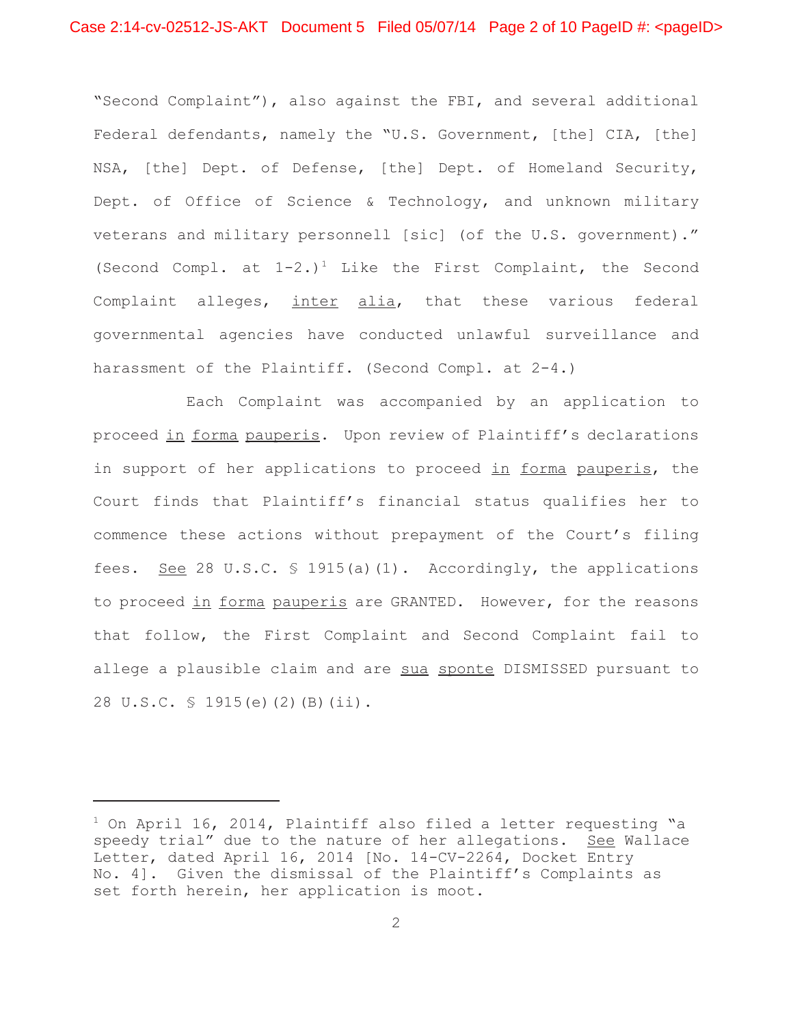"Second Complaint"), also against the FBI, and several additional Federal defendants, namely the "U.S. Government, [the] CIA, [the] NSA, [the] Dept. of Defense, [the] Dept. of Homeland Security, Dept. of Office of Science & Technology, and unknown military veterans and military personnell [sic] (of the U.S. government)." (Second Compl. at  $1-2$ .)<sup>1</sup> Like the First Complaint, the Second Complaint alleges, inter alia, that these various federal governmental agencies have conducted unlawful surveillance and harassment of the Plaintiff. (Second Compl. at 2-4.)

Each Complaint was accompanied by an application to proceed in forma pauperis. Upon review of Plaintiff's declarations in support of her applications to proceed in forma pauperis, the Court finds that Plaintiff's financial status qualifies her to commence these actions without prepayment of the Court's filing fees. See 28 U.S.C. § 1915(a)(1). Accordingly, the applications to proceed in forma pauperis are GRANTED. However, for the reasons that follow, the First Complaint and Second Complaint fail to allege a plausible claim and are sua sponte DISMISSED pursuant to 28 U.S.C. § 1915(e)(2)(B)(ii).

 $^1$  On April 16, 2014, Plaintiff also filed a letter requesting "a speedy trial" due to the nature of her allegations. See Wallace Letter, dated April 16, 2014 [No. 14-CV-2264, Docket Entry No. 4]. Given the dismissal of the Plaintiff's Complaints as set forth herein, her application is moot.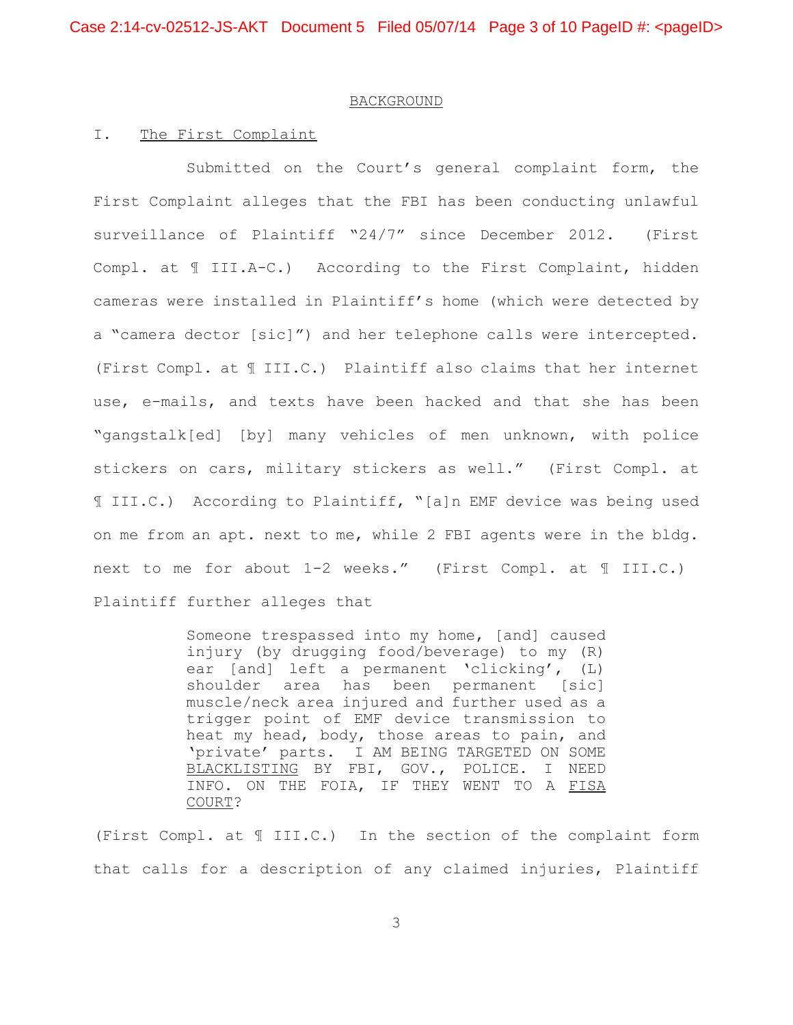## BACKGROUND

### I. The First Complaint

Submitted on the Court's general complaint form, the First Complaint alleges that the FBI has been conducting unlawful surveillance of Plaintiff "24/7" since December 2012. (First Compl. at ¶ III.A-C.) According to the First Complaint, hidden cameras were installed in Plaintiff's home (which were detected by a "camera dector [sic]") and her telephone calls were intercepted. (First Compl. at ¶ III.C.) Plaintiff also claims that her internet use, e-mails, and texts have been hacked and that she has been "gangstalk[ed] [by] many vehicles of men unknown, with police stickers on cars, military stickers as well." (First Compl. at ¶ III.C.) According to Plaintiff, "[a]n EMF device was being used on me from an apt. next to me, while 2 FBI agents were in the bldg. next to me for about 1-2 weeks." (First Compl. at ¶ III.C.) Plaintiff further alleges that

> Someone trespassed into my home, [and] caused injury (by drugging food/beverage) to my (R) ear [and] left a permanent 'clicking', (L) shoulder area has been permanent [sic] muscle/neck area injured and further used as a trigger point of EMF device transmission to heat my head, body, those areas to pain, and 'private' parts. I AM BEING TARGETED ON SOME BLACKLISTING BY FBI, GOV., POLICE. I NEED INFO. ON THE FOIA, IF THEY WENT TO A FISA COURT?

(First Compl. at ¶ III.C.) In the section of the complaint form that calls for a description of any claimed injuries, Plaintiff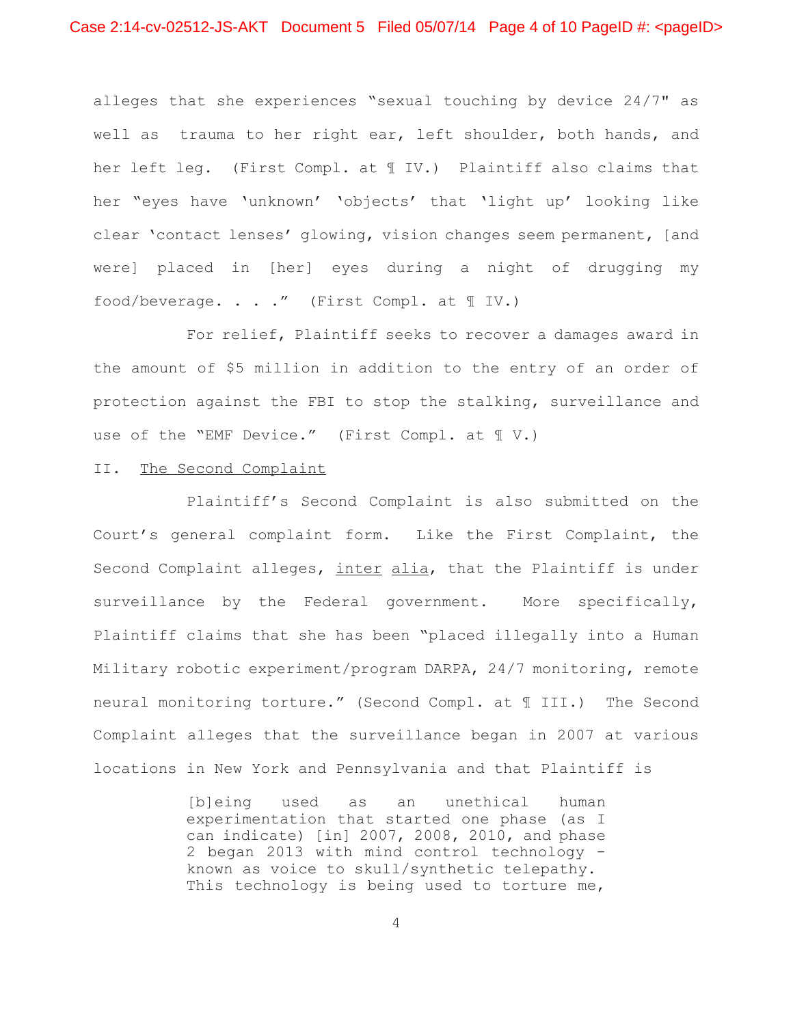alleges that she experiences "sexual touching by device 24/7" as well as trauma to her right ear, left shoulder, both hands, and her left leg. (First Compl. at ¶ IV.) Plaintiff also claims that her "eyes have 'unknown' 'objects' that 'light up' looking like clear 'contact lenses' glowing, vision changes seem permanent, [and were] placed in [her] eyes during a night of drugging my food/beverage. . . ." (First Compl. at ¶ IV.)

For relief, Plaintiff seeks to recover a damages award in the amount of \$5 million in addition to the entry of an order of protection against the FBI to stop the stalking, surveillance and use of the "EMF Device." (First Compl. at ¶ V.)

# II. The Second Complaint

Plaintiff's Second Complaint is also submitted on the Court's general complaint form. Like the First Complaint, the Second Complaint alleges, inter alia, that the Plaintiff is under surveillance by the Federal government. More specifically, Plaintiff claims that she has been "placed illegally into a Human Military robotic experiment/program DARPA, 24/7 monitoring, remote neural monitoring torture." (Second Compl. at ¶ III.) The Second Complaint alleges that the surveillance began in 2007 at various locations in New York and Pennsylvania and that Plaintiff is

> [b]eing used as an unethical human experimentation that started one phase (as I can indicate) [in] 2007, 2008, 2010, and phase 2 began 2013 with mind control technology known as voice to skull/synthetic telepathy. This technology is being used to torture me,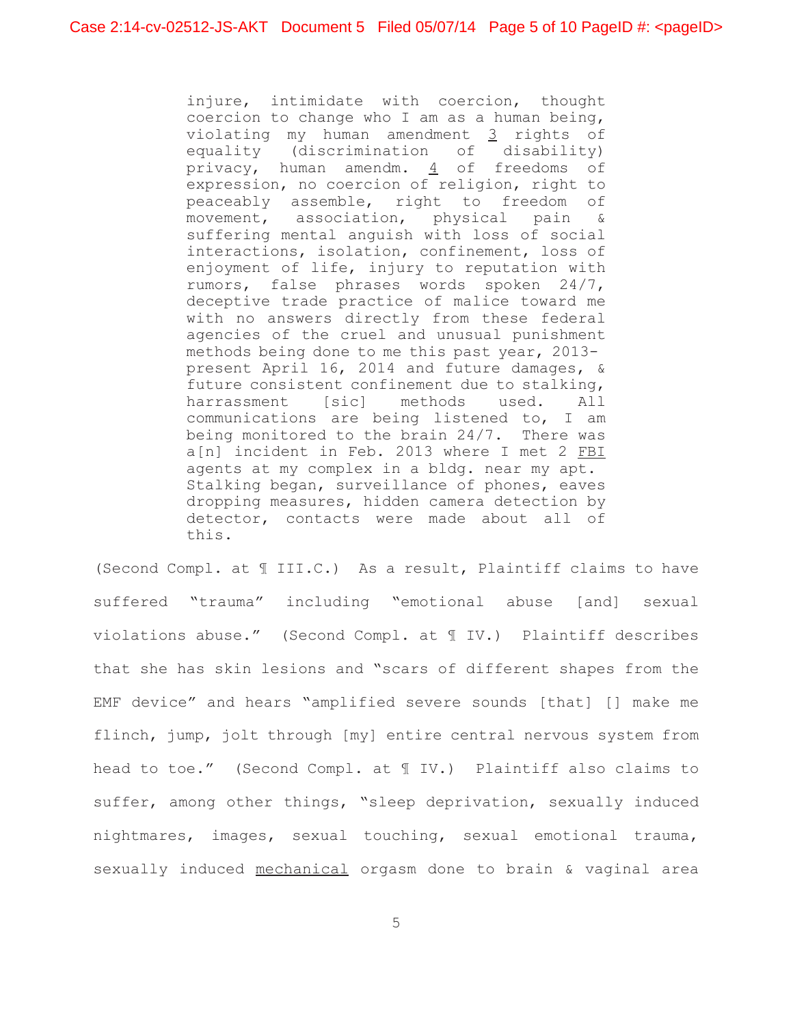injure, intimidate with coercion, thought coercion to change who I am as a human being, violating my human amendment 3 rights of equality (discrimination of disability) privacy, human amendm.  $\frac{4}{5}$  of freedoms of expression, no coercion of religion, right to peaceably assemble, right to freedom of movement, association, physical pain & suffering mental anguish with loss of social interactions, isolation, confinement, loss of enjoyment of life, injury to reputation with rumors, false phrases words spoken 24/7, deceptive trade practice of malice toward me with no answers directly from these federal agencies of the cruel and unusual punishment methods being done to me this past year, 2013 present April 16, 2014 and future damages, & future consistent confinement due to stalking, harrassment [sic] methods used. All communications are being listened to, I am being monitored to the brain 24/7. There was a[n] incident in Feb. 2013 where I met 2 FBI agents at my complex in a bldg. near my apt. Stalking began, surveillance of phones, eaves dropping measures, hidden camera detection by detector, contacts were made about all of this.

(Second Compl. at ¶ III.C.) As a result, Plaintiff claims to have suffered "trauma" including "emotional abuse [and] sexual violations abuse." (Second Compl. at ¶ IV.) Plaintiff describes that she has skin lesions and "scars of different shapes from the EMF device" and hears "amplified severe sounds [that] [] make me flinch, jump, jolt through [my] entire central nervous system from head to toe." (Second Compl. at ¶ IV.) Plaintiff also claims to suffer, among other things, "sleep deprivation, sexually induced nightmares, images, sexual touching, sexual emotional trauma, sexually induced mechanical orgasm done to brain & vaginal area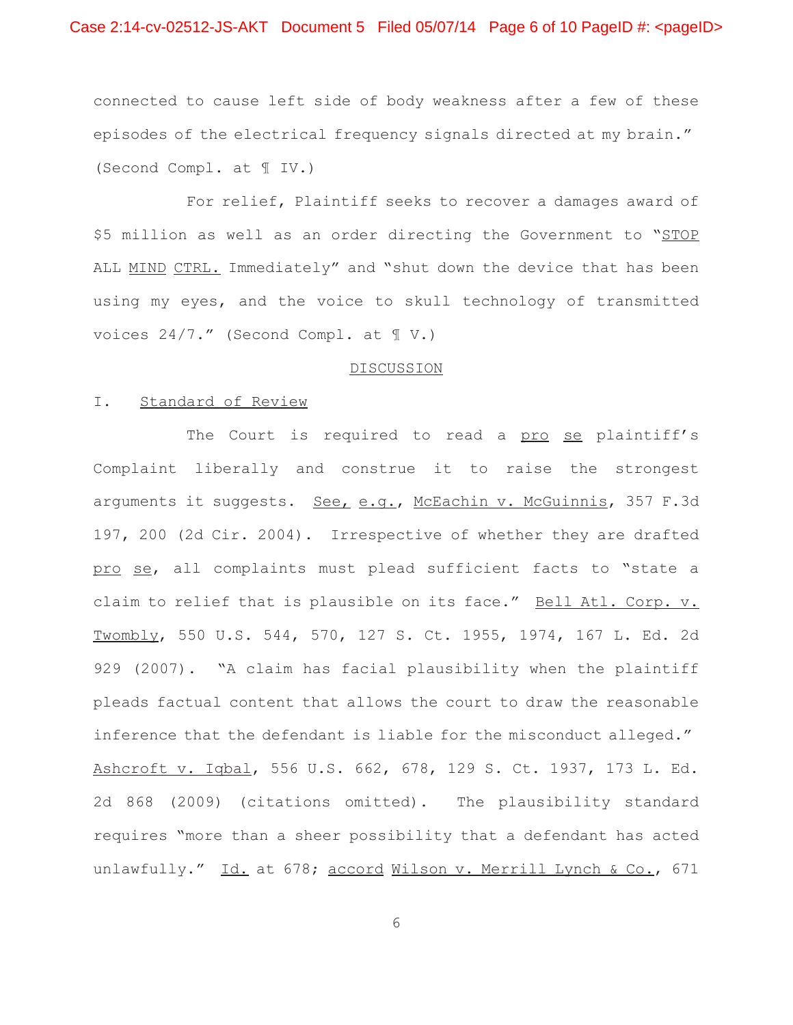connected to cause left side of body weakness after a few of these episodes of the electrical frequency signals directed at my brain." (Second Compl. at ¶ IV.)

For relief, Plaintiff seeks to recover a damages award of \$5 million as well as an order directing the Government to "STOP ALL MIND CTRL. Immediately" and "shut down the device that has been using my eyes, and the voice to skull technology of transmitted voices 24/7." (Second Compl. at ¶ V.)

#### DISCUSSION

# I. Standard of Review

The Court is required to read a pro se plaintiff's Complaint liberally and construe it to raise the strongest arguments it suggests. See, e.g., McEachin v. McGuinnis, 357 F.3d 197, 200 (2d Cir. 2004). Irrespective of whether they are drafted pro se, all complaints must plead sufficient facts to "state a claim to relief that is plausible on its face." Bell Atl. Corp. v. Twombly, 550 U.S. 544, 570, 127 S. Ct. 1955, 1974, 167 L. Ed. 2d 929 (2007). "A claim has facial plausibility when the plaintiff pleads factual content that allows the court to draw the reasonable inference that the defendant is liable for the misconduct alleged." Ashcroft v. Iqbal, 556 U.S. 662, 678, 129 S. Ct. 1937, 173 L. Ed. 2d 868 (2009) (citations omitted). The plausibility standard requires "more than a sheer possibility that a defendant has acted unlawfully." Id. at 678; accord Wilson v. Merrill Lynch & Co., 671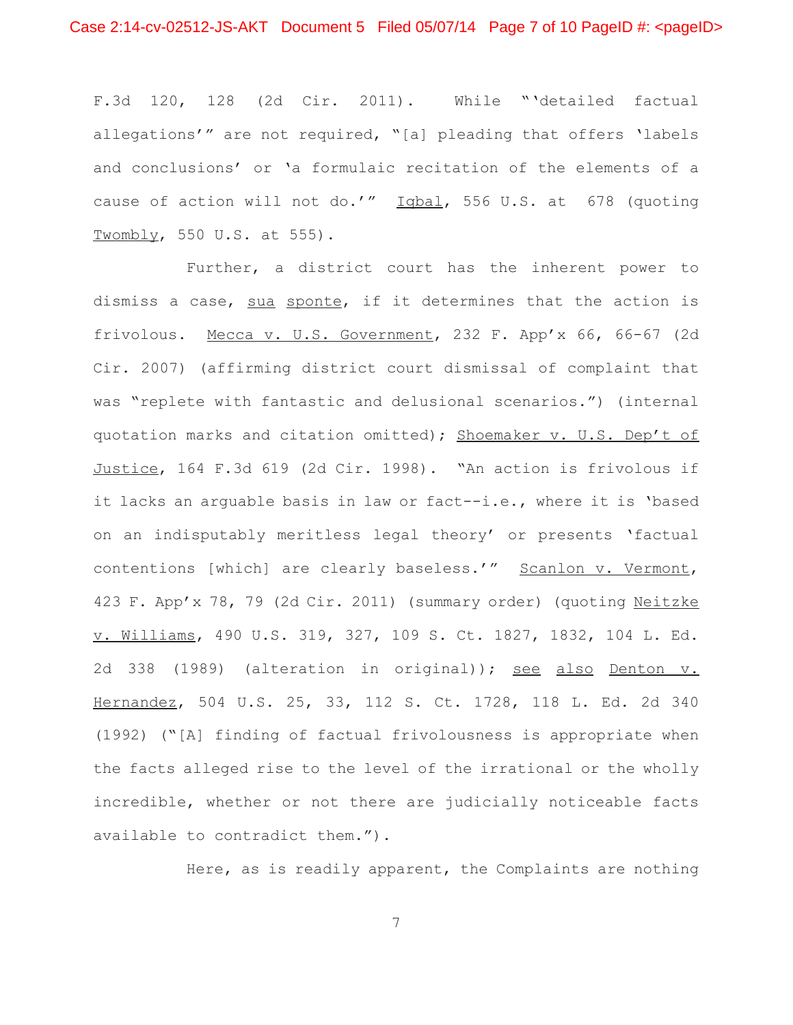F.3d 120, 128 (2d Cir. 2011). While "'detailed factual allegations'" are not required, "[a] pleading that offers 'labels and conclusions' or 'a formulaic recitation of the elements of a cause of action will not do.'" Iqbal, 556 U.S. at 678 (quoting Twombly, 550 U.S. at 555).

Further, a district court has the inherent power to dismiss a case, sua sponte, if it determines that the action is frivolous. Mecca v. U.S. Government, 232 F. App'x 66, 66-67 (2d Cir. 2007) (affirming district court dismissal of complaint that was "replete with fantastic and delusional scenarios.") (internal quotation marks and citation omitted); Shoemaker v. U.S. Dep't of Justice, 164 F.3d 619 (2d Cir. 1998). "An action is frivolous if it lacks an arguable basis in law or fact--i.e., where it is 'based on an indisputably meritless legal theory' or presents 'factual contentions [which] are clearly baseless.'" Scanlon v. Vermont, 423 F. App'x 78, 79 (2d Cir. 2011) (summary order) (quoting Neitzke v. Williams, 490 U.S. 319, 327, 109 S. Ct. 1827, 1832, 104 L. Ed. 2d 338 (1989) (alteration in original)); see also Denton v. Hernandez, 504 U.S. 25, 33, 112 S. Ct. 1728, 118 L. Ed. 2d 340 (1992) ("[A] finding of factual frivolousness is appropriate when the facts alleged rise to the level of the irrational or the wholly incredible, whether or not there are judicially noticeable facts available to contradict them.").

Here, as is readily apparent, the Complaints are nothing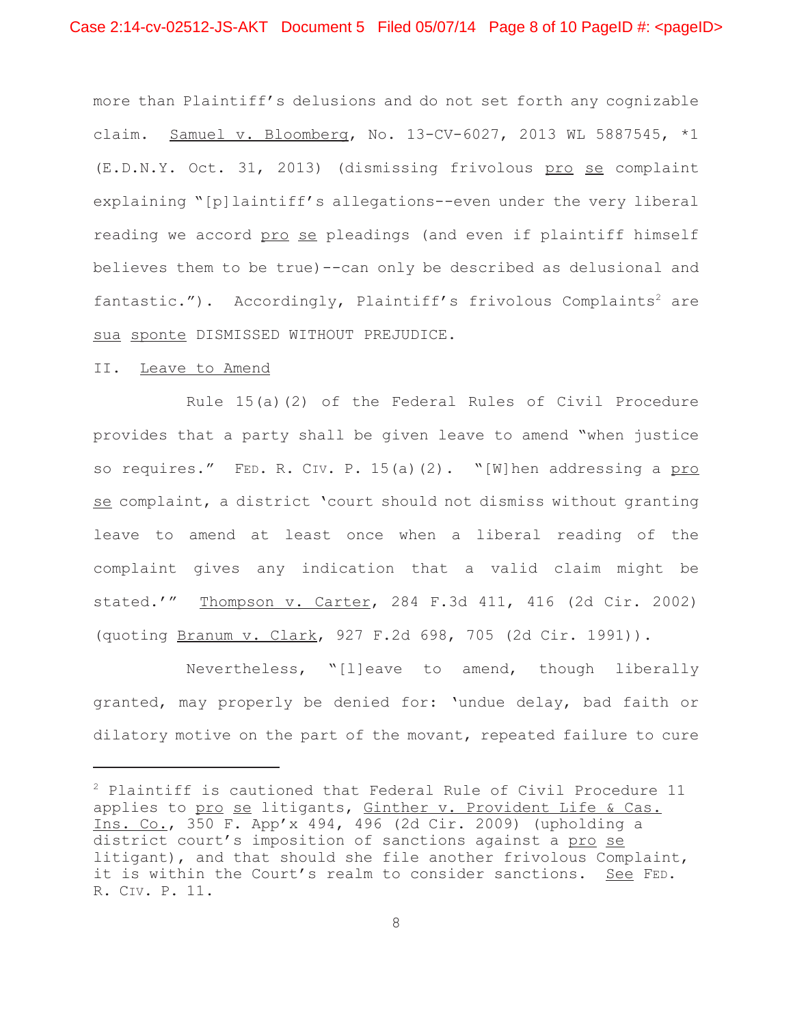more than Plaintiff's delusions and do not set forth any cognizable claim. Samuel v. Bloomberg, No. 13-CV-6027, 2013 WL 5887545, \*1 (E.D.N.Y. Oct. 31, 2013) (dismissing frivolous pro se complaint explaining "[p]laintiff's allegations--even under the very liberal reading we accord pro se pleadings (and even if plaintiff himself believes them to be true)--can only be described as delusional and fantastic."). Accordingly, Plaintiff's frivolous Complaints<sup>2</sup> are sua sponte DISMISSED WITHOUT PREJUDICE.

### II. Leave to Amend

Rule 15(a)(2) of the Federal Rules of Civil Procedure provides that a party shall be given leave to amend "when justice so requires." FED. R. CIV. P. 15(a)(2). "[W]hen addressing a pro se complaint, a district 'court should not dismiss without granting leave to amend at least once when a liberal reading of the complaint gives any indication that a valid claim might be stated.'" Thompson v. Carter, 284 F.3d 411, 416 (2d Cir. 2002) (quoting Branum v. Clark, 927 F.2d 698, 705 (2d Cir. 1991)).

Nevertheless, "[l]eave to amend, though liberally granted, may properly be denied for: 'undue delay, bad faith or dilatory motive on the part of the movant, repeated failure to cure

<sup>2</sup> Plaintiff is cautioned that Federal Rule of Civil Procedure 11 applies to pro se litigants, Ginther v. Provident Life & Cas. Ins. Co., 350 F. App'x 494, 496 (2d Cir. 2009) (upholding a district court's imposition of sanctions against a pro se litigant), and that should she file another frivolous Complaint, it is within the Court's realm to consider sanctions. See FED. R. CIV. P. 11.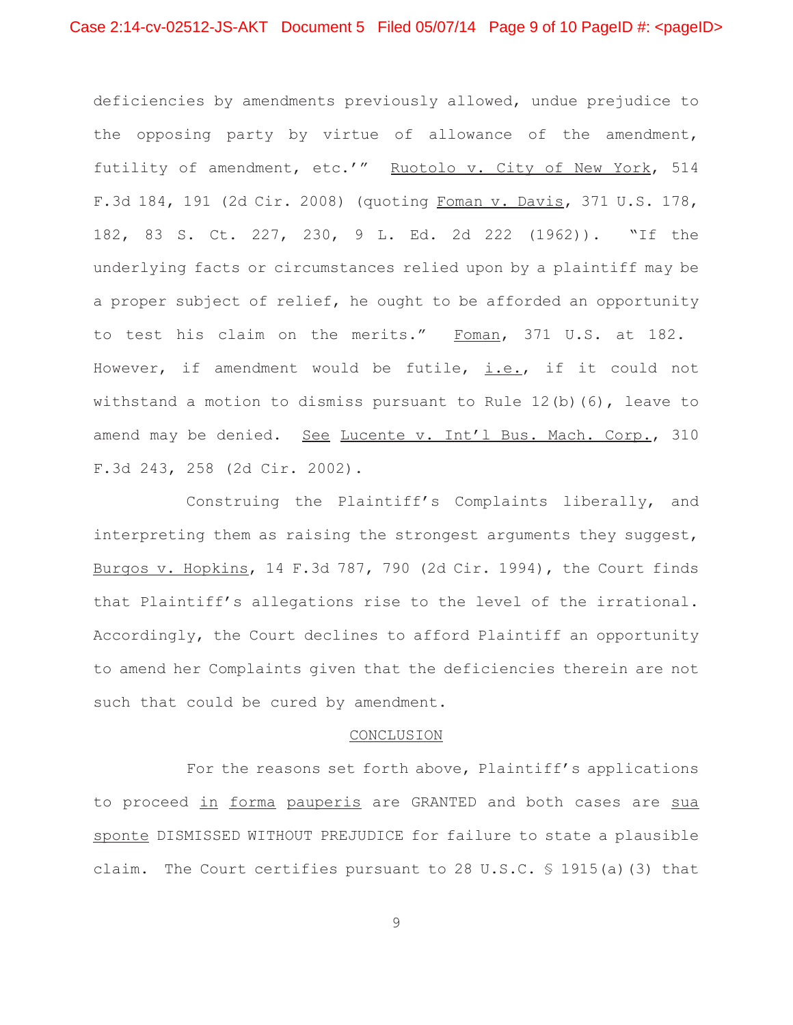deficiencies by amendments previously allowed, undue prejudice to the opposing party by virtue of allowance of the amendment, futility of amendment, etc.'" Ruotolo v. City of New York, 514 F.3d 184, 191 (2d Cir. 2008) (quoting Foman v. Davis, 371 U.S. 178, 182, 83 S. Ct. 227, 230, 9 L. Ed. 2d 222 (1962)). "If the underlying facts or circumstances relied upon by a plaintiff may be a proper subject of relief, he ought to be afforded an opportunity to test his claim on the merits." Foman, 371 U.S. at 182. However, if amendment would be futile,  $i.e.,$  if it could not withstand a motion to dismiss pursuant to Rule 12(b)(6), leave to amend may be denied. See Lucente v. Int'l Bus. Mach. Corp., 310 F.3d 243, 258 (2d Cir. 2002).

Construing the Plaintiff's Complaints liberally, and interpreting them as raising the strongest arguments they suggest, Burgos v. Hopkins, 14 F.3d 787, 790 (2d Cir. 1994), the Court finds that Plaintiff's allegations rise to the level of the irrational. Accordingly, the Court declines to afford Plaintiff an opportunity to amend her Complaints given that the deficiencies therein are not such that could be cured by amendment.

# CONCLUSION

For the reasons set forth above, Plaintiff's applications to proceed in forma pauperis are GRANTED and both cases are sua sponte DISMISSED WITHOUT PREJUDICE for failure to state a plausible claim. The Court certifies pursuant to 28 U.S.C. § 1915(a)(3) that